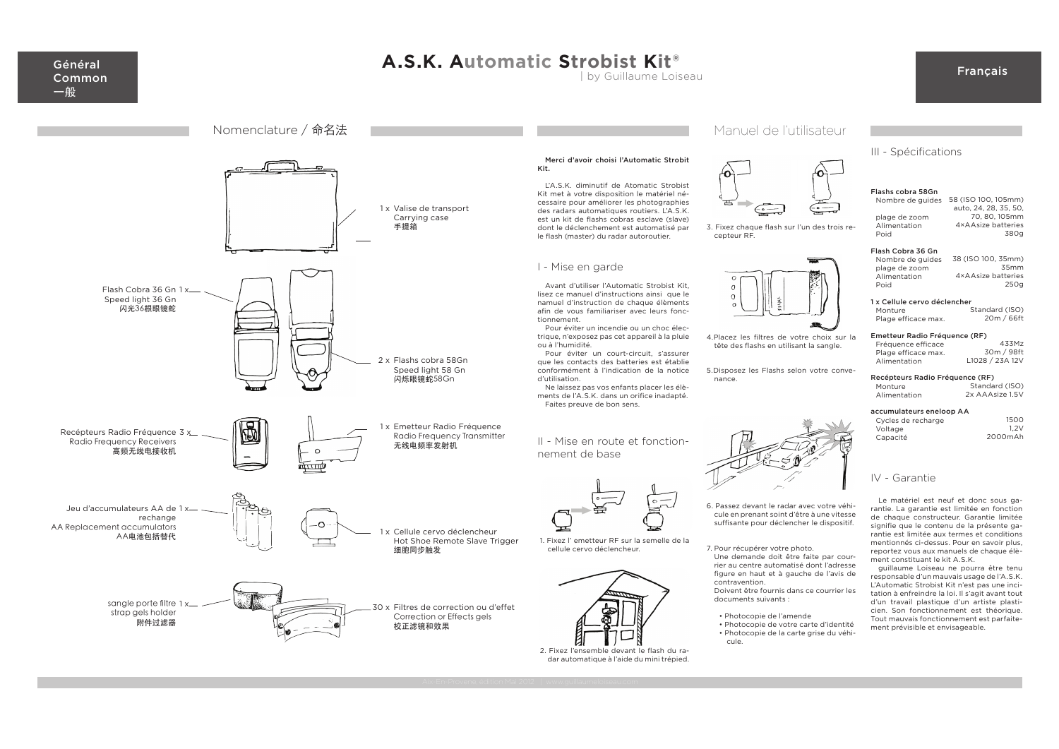# Général Common 㮥⊑

# **A.S.K. Automatic Strobist Kit®** | by Guillaume Loiseau

### **Francais**



#### Merci d'avoir choisi l'Automatic Strobit Kit.

L'A.S.K. diminutif de Atomatic Strobist Kit met à votre disposition le matériel nécessaire pour améliorer les photographies des radars automatiques routiers. L'A.S.K. est un kit de flashs cobras esclave (slave) dont le déclenchement est automatisé par le flash (master) du radar autoroutier.

# I - Mise en garde

Avant d'utiliser l'Automatic Strobist Kit, lisez ce manuel d'instructions ainsi que le namuel d'instruction de chaque élèments afin de vous familiariser avec leurs fonctionnement.

Pour éviter un incendie ou un choc électrique, n'exposez pas cet appareil à la pluie ou à l'humidité.

Pour éviter un court-circuit, s'assurer que les contacts des batteries est établie conformément à l'indication de la notice d'utilisation.

Ne laissez pas vos enfants placer les élèments de l'A.S.K. dans un orifice inadapté. Faites preuve de bon sens.

II - Mise en route et fonctionnement de base



1. Fixez l' emetteur RF sur la semelle de la cellule cervo déclencheur.



2. Fixez l'ensemble devant le flash du radar automatique à l'aide du mini trépied.

# Manuel de l'utilisateur





4.Placez les filtres de votre choix sur la tête des flashs en utilisant la sangle.

5.Disposez les Flashs selon votre convenance.



6. Passez devant le radar avec votre véhicule en prenant soint d'être à une vitesse suffisante pour déclencher le dispositif.

7. Pour récupérer votre photo. Une demande doit être faite par courrier au centre automatisé dont l'adresse figure en haut et à gauche de l'avis de contravention.

Doivent être fournis dans ce courrier les documents suivants :

- Photocopie de l'amende
- · Photocopie de votre carte d'identité + Photocopie de la carte grise du véhicule.

# III - Spécifications

#### Flashs cobra 58Gn

| 58 (ISO 100, 105mm)   |
|-----------------------|
| auto. 24, 28, 35, 50. |
| 70, 80, 105mm         |
| 4×AAsize batteries    |
| 380a                  |
|                       |

#### Flash Cobra 36 Gn

| Nombre de quides | 38 (ISO 100, 35mm) |
|------------------|--------------------|
| plage de zoom    | 35mm               |
| Alimentation     | 4×AAsize batteries |
| Poid             | 250q               |
|                  |                    |

#### 1 x Cellule cervo déclencher

| Monture             | Standard (ISO) |
|---------------------|----------------|
| Plage efficace max. | 20m / 66ft     |

#### Emetteur Radio Fréquence (RF)

| Fréquence efficace  | 433Mz           |
|---------------------|-----------------|
| Plage efficace max. | 30m / 98ft      |
| Alimentation        | L1028 / 23A 12V |
|                     |                 |

#### Recépteurs Radio Fréquence (RF)

| Monture      | Standard (ISO)  |
|--------------|-----------------|
| Alimentation | 2x AAAsize 1.5V |

#### accumulateurs eneloop AA

| Cycles de recharge | 1500    |
|--------------------|---------|
| Voltage            | 1.2V    |
| Capacité           | 2000mAh |
|                    |         |

#### IV - Garantie

Le matériel est neuf et donc sous garantie. La garantie est limitée en fonction de chaque constructeur. Garantie limitée signifie que le contenu de la présente garantie est limitée aux termes et conditions mentionnés ci-dessus. Pour en savoir plus, reportez vous aux manuels de chaque élèment constituant le kit A.S.K.

guillaume Loiseau ne pourra être tenu responsable d'un mauvais usage de l'A.S.K. L'Automatic Strobist Kit n'est pas une incitation à enfreindre la loi. Il s'agit avant tout d'un travail plastique d'un artiste plasticien. Son fonctionnement est théorique. Tout mauvais fonctionnement est parfaitement prévisible et envisageable.